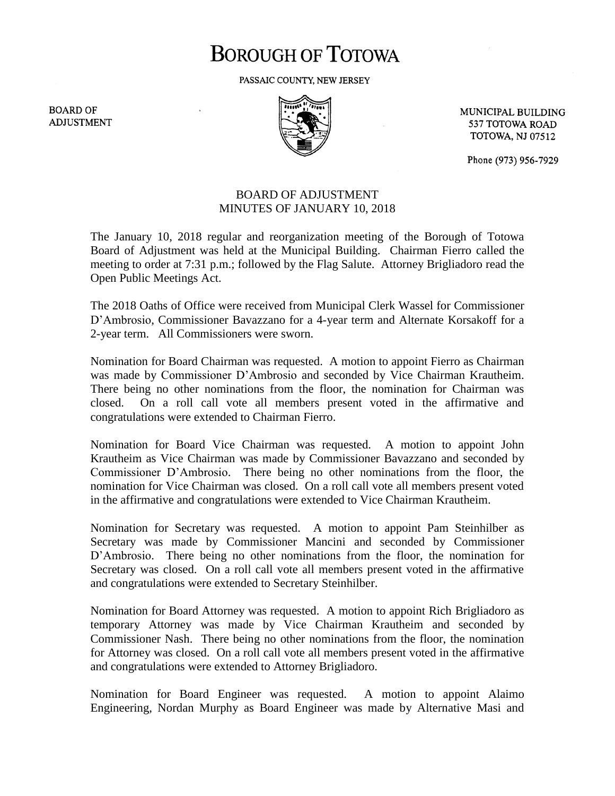## **BOROUGH OF TOTOWA**

PASSAIC COUNTY, NEW JERSEY

**BOARD OF ADJUSTMENT** 



MUNICIPAL BUILDING 537 TOTOWA ROAD **TOTOWA, NJ 07512** 

Phone (973) 956-7929

## BOARD OF ADJUSTMENT MINUTES OF JANUARY 10, 2018

The January 10, 2018 regular and reorganization meeting of the Borough of Totowa Board of Adjustment was held at the Municipal Building. Chairman Fierro called the meeting to order at 7:31 p.m.; followed by the Flag Salute. Attorney Brigliadoro read the Open Public Meetings Act.

The 2018 Oaths of Office were received from Municipal Clerk Wassel for Commissioner D'Ambrosio, Commissioner Bavazzano for a 4-year term and Alternate Korsakoff for a 2-year term. All Commissioners were sworn.

Nomination for Board Chairman was requested. A motion to appoint Fierro as Chairman was made by Commissioner D'Ambrosio and seconded by Vice Chairman Krautheim. There being no other nominations from the floor, the nomination for Chairman was closed. On a roll call vote all members present voted in the affirmative and congratulations were extended to Chairman Fierro.

Nomination for Board Vice Chairman was requested. A motion to appoint John Krautheim as Vice Chairman was made by Commissioner Bavazzano and seconded by Commissioner D'Ambrosio. There being no other nominations from the floor, the nomination for Vice Chairman was closed. On a roll call vote all members present voted in the affirmative and congratulations were extended to Vice Chairman Krautheim.

Nomination for Secretary was requested. A motion to appoint Pam Steinhilber as Secretary was made by Commissioner Mancini and seconded by Commissioner D'Ambrosio. There being no other nominations from the floor, the nomination for Secretary was closed. On a roll call vote all members present voted in the affirmative and congratulations were extended to Secretary Steinhilber.

Nomination for Board Attorney was requested. A motion to appoint Rich Brigliadoro as temporary Attorney was made by Vice Chairman Krautheim and seconded by Commissioner Nash. There being no other nominations from the floor, the nomination for Attorney was closed. On a roll call vote all members present voted in the affirmative and congratulations were extended to Attorney Brigliadoro.

Nomination for Board Engineer was requested. A motion to appoint Alaimo Engineering, Nordan Murphy as Board Engineer was made by Alternative Masi and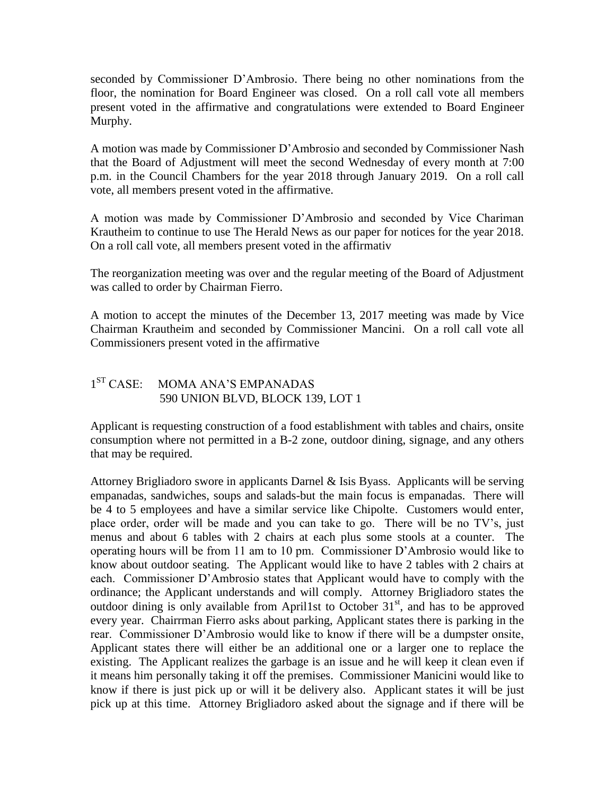seconded by Commissioner D'Ambrosio. There being no other nominations from the floor, the nomination for Board Engineer was closed. On a roll call vote all members present voted in the affirmative and congratulations were extended to Board Engineer Murphy.

A motion was made by Commissioner D'Ambrosio and seconded by Commissioner Nash that the Board of Adjustment will meet the second Wednesday of every month at 7:00 p.m. in the Council Chambers for the year 2018 through January 2019. On a roll call vote, all members present voted in the affirmative.

A motion was made by Commissioner D'Ambrosio and seconded by Vice Chariman Krautheim to continue to use The Herald News as our paper for notices for the year 2018. On a roll call vote, all members present voted in the affirmativ

The reorganization meeting was over and the regular meeting of the Board of Adjustment was called to order by Chairman Fierro.

A motion to accept the minutes of the December 13, 2017 meeting was made by Vice Chairman Krautheim and seconded by Commissioner Mancini. On a roll call vote all Commissioners present voted in the affirmative

## $1^{ST}$  CASE: MOMA ANA'S EMPANADAS 590 UNION BLVD, BLOCK 139, LOT 1

Applicant is requesting construction of a food establishment with tables and chairs, onsite consumption where not permitted in a B-2 zone, outdoor dining, signage, and any others that may be required.

Attorney Brigliadoro swore in applicants Darnel & Isis Byass. Applicants will be serving empanadas, sandwiches, soups and salads-but the main focus is empanadas. There will be 4 to 5 employees and have a similar service like Chipolte. Customers would enter, place order, order will be made and you can take to go. There will be no TV's, just menus and about 6 tables with 2 chairs at each plus some stools at a counter. The operating hours will be from 11 am to 10 pm. Commissioner D'Ambrosio would like to know about outdoor seating. The Applicant would like to have 2 tables with 2 chairs at each. Commissioner D'Ambrosio states that Applicant would have to comply with the ordinance; the Applicant understands and will comply. Attorney Brigliadoro states the outdoor dining is only available from April1st to October  $31<sup>st</sup>$ , and has to be approved every year. Chairrman Fierro asks about parking, Applicant states there is parking in the rear. Commissioner D'Ambrosio would like to know if there will be a dumpster onsite, Applicant states there will either be an additional one or a larger one to replace the existing. The Applicant realizes the garbage is an issue and he will keep it clean even if it means him personally taking it off the premises. Commissioner Manicini would like to know if there is just pick up or will it be delivery also. Applicant states it will be just pick up at this time. Attorney Brigliadoro asked about the signage and if there will be